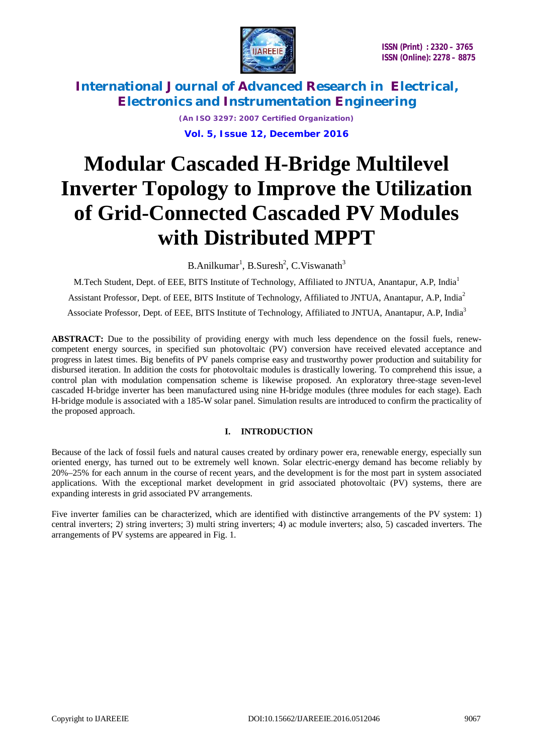

> *(An ISO 3297: 2007 Certified Organization)* **Vol. 5, Issue 12, December 2016**

# **Modular Cascaded H-Bridge Multilevel Inverter Topology to Improve the Utilization of Grid-Connected Cascaded PV Modules with Distributed MPPT**

B.Anilkumar<sup>1</sup>, B.Suresh<sup>2</sup>, C.Viswanath<sup>3</sup>

M.Tech Student, Dept. of EEE, BITS Institute of Technology, Affiliated to JNTUA, Anantapur, A.P, India<sup>1</sup> Assistant Professor, Dept. of EEE, BITS Institute of Technology, Affiliated to JNTUA, Anantapur, A.P, India<sup>2</sup> Associate Professor, Dept. of EEE, BITS Institute of Technology, Affiliated to JNTUA, Anantapur, A.P, India<sup>3</sup>

**ABSTRACT:** Due to the possibility of providing energy with much less dependence on the fossil fuels, renewcompetent energy sources, in specified sun photovoltaic (PV) conversion have received elevated acceptance and progress in latest times. Big benefits of PV panels comprise easy and trustworthy power production and suitability for disbursed iteration. In addition the costs for photovoltaic modules is drastically lowering. To comprehend this issue, a control plan with modulation compensation scheme is likewise proposed. An exploratory three-stage seven-level cascaded H-bridge inverter has been manufactured using nine H-bridge modules (three modules for each stage). Each H-bridge module is associated with a 185-W solar panel. Simulation results are introduced to confirm the practicality of the proposed approach.

### **I. INTRODUCTION**

Because of the lack of fossil fuels and natural causes created by ordinary power era, renewable energy, especially sun oriented energy, has turned out to be extremely well known. Solar electric-energy demand has become reliably by 20%–25% for each annum in the course of recent years, and the development is for the most part in system associated applications. With the exceptional market development in grid associated photovoltaic (PV) systems, there are expanding interests in grid associated PV arrangements.

Five inverter families can be characterized, which are identified with distinctive arrangements of the PV system: 1) central inverters; 2) string inverters; 3) multi string inverters; 4) ac module inverters; also, 5) cascaded inverters. The arrangements of PV systems are appeared in Fig. 1.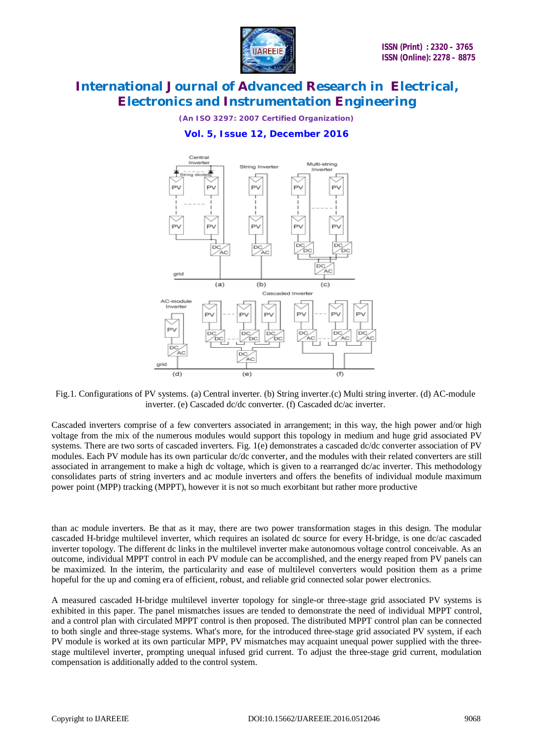

*(An ISO 3297: 2007 Certified Organization)*

### **Vol. 5, Issue 12, December 2016**



Fig.1. Configurations of PV systems. (a) Central inverter. (b) String inverter.(c) Multi string inverter. (d) AC-module inverter. (e) Cascaded dc/dc converter. (f) Cascaded dc/ac inverter.

Cascaded inverters comprise of a few converters associated in arrangement; in this way, the high power and/or high voltage from the mix of the numerous modules would support this topology in medium and huge grid associated PV systems. There are two sorts of cascaded inverters. Fig. 1(e) demonstrates a cascaded dc/dc converter association of PV modules. Each PV module has its own particular dc/dc converter, and the modules with their related converters are still associated in arrangement to make a high dc voltage, which is given to a rearranged dc/ac inverter. This methodology consolidates parts of string inverters and ac module inverters and offers the benefits of individual module maximum power point (MPP) tracking (MPPT), however it is not so much exorbitant but rather more productive

than ac module inverters. Be that as it may, there are two power transformation stages in this design. The modular cascaded H-bridge multilevel inverter, which requires an isolated dc source for every H-bridge, is one dc/ac cascaded inverter topology. The different dc links in the multilevel inverter make autonomous voltage control conceivable. As an outcome, individual MPPT control in each PV module can be accomplished, and the energy reaped from PV panels can be maximized. In the interim, the particularity and ease of multilevel converters would position them as a prime hopeful for the up and coming era of efficient, robust, and reliable grid connected solar power electronics.

A measured cascaded H-bridge multilevel inverter topology for single-or three-stage grid associated PV systems is exhibited in this paper. The panel mismatches issues are tended to demonstrate the need of individual MPPT control, and a control plan with circulated MPPT control is then proposed. The distributed MPPT control plan can be connected to both single and three-stage systems. What's more, for the introduced three-stage grid associated PV system, if each PV module is worked at its own particular MPP, PV mismatches may acquaint unequal power supplied with the threestage multilevel inverter, prompting unequal infused grid current. To adjust the three-stage grid current, modulation compensation is additionally added to the control system.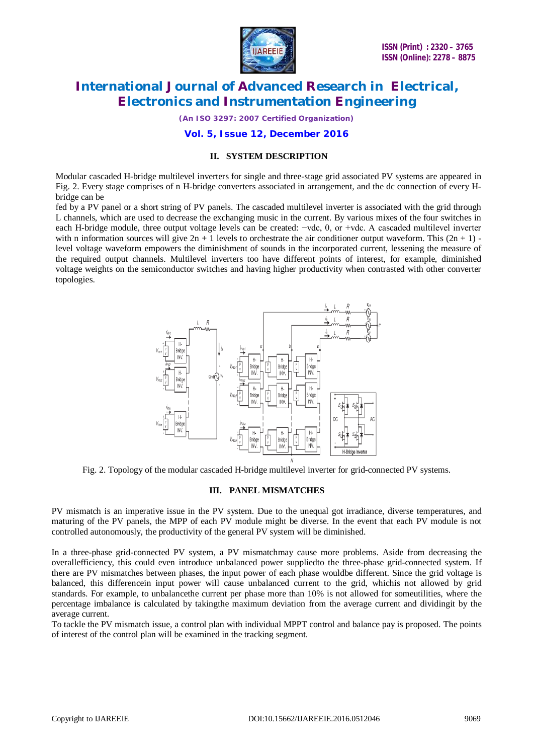

*(An ISO 3297: 2007 Certified Organization)*

#### **Vol. 5, Issue 12, December 2016**

#### **II. SYSTEM DESCRIPTION**

Modular cascaded H-bridge multilevel inverters for single and three-stage grid associated PV systems are appeared in Fig. 2. Every stage comprises of n H-bridge converters associated in arrangement, and the dc connection of every Hbridge can be

fed by a PV panel or a short string of PV panels. The cascaded multilevel inverter is associated with the grid through L channels, which are used to decrease the exchanging music in the current. By various mixes of the four switches in each H-bridge module, three output voltage levels can be created: −vdc, 0, or +vdc. A cascaded multilevel inverter with n information sources will give  $2n + 1$  levels to orchestrate the air conditioner output waveform. This  $(2n + 1)$  level voltage waveform empowers the diminishment of sounds in the incorporated current, lessening the measure of the required output channels. Multilevel inverters too have different points of interest, for example, diminished voltage weights on the semiconductor switches and having higher productivity when contrasted with other converter topologies.



Fig. 2. Topology of the modular cascaded H-bridge multilevel inverter for grid-connected PV systems.

#### **III. PANEL MISMATCHES**

PV mismatch is an imperative issue in the PV system. Due to the unequal got irradiance, diverse temperatures, and maturing of the PV panels, the MPP of each PV module might be diverse. In the event that each PV module is not controlled autonomously, the productivity of the general PV system will be diminished.

In a three-phase grid-connected PV system, a PV mismatchmay cause more problems. Aside from decreasing the overallefficiency, this could even introduce unbalanced power suppliedto the three-phase grid-connected system. If there are PV mismatches between phases, the input power of each phase wouldbe different. Since the grid voltage is balanced, this differencein input power will cause unbalanced current to the grid, whichis not allowed by grid standards. For example, to unbalancethe current per phase more than 10% is not allowed for someutilities, where the percentage imbalance is calculated by takingthe maximum deviation from the average current and dividingit by the average current.

To tackle the PV mismatch issue, a control plan with individual MPPT control and balance pay is proposed. The points of interest of the control plan will be examined in the tracking segment.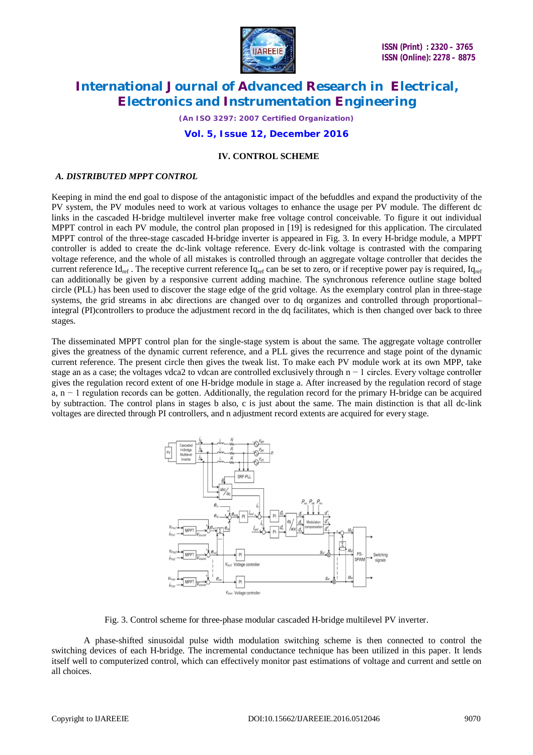

*(An ISO 3297: 2007 Certified Organization)*

#### **Vol. 5, Issue 12, December 2016**

### **IV. CONTROL SCHEME**

### *A. DISTRIBUTED MPPT CONTROL*

Keeping in mind the end goal to dispose of the antagonistic impact of the befuddles and expand the productivity of the PV system, the PV modules need to work at various voltages to enhance the usage per PV module. The different dc links in the cascaded H-bridge multilevel inverter make free voltage control conceivable. To figure it out individual MPPT control in each PV module, the control plan proposed in [19] is redesigned for this application. The circulated MPPT control of the three-stage cascaded H-bridge inverter is appeared in Fig. 3. In every H-bridge module, a MPPT controller is added to create the dc-link voltage reference. Every dc-link voltage is contrasted with the comparing voltage reference, and the whole of all mistakes is controlled through an aggregate voltage controller that decides the current reference  $Id_{ref}$ . The receptive current reference  $Id_{ref}$  can be set to zero, or if receptive power pay is required,  $Id_{ref}$ can additionally be given by a responsive current adding machine. The synchronous reference outline stage bolted circle (PLL) has been used to discover the stage edge of the grid voltage. As the exemplary control plan in three-stage systems, the grid streams in abc directions are changed over to dq organizes and controlled through proportional– integral (PI)controllers to produce the adjustment record in the dq facilitates, which is then changed over back to three stages.

The disseminated MPPT control plan for the single-stage system is about the same. The aggregate voltage controller gives the greatness of the dynamic current reference, and a PLL gives the recurrence and stage point of the dynamic current reference. The present circle then gives the tweak list. To make each PV module work at its own MPP, take stage an as a case; the voltages vdca2 to vdcan are controlled exclusively through n − 1 circles. Every voltage controller gives the regulation record extent of one H-bridge module in stage a. After increased by the regulation record of stage a, n − 1 regulation records can be gotten. Additionally, the regulation record for the primary H-bridge can be acquired by subtraction. The control plans in stages b also, c is just about the same. The main distinction is that all dc-link voltages are directed through PI controllers, and n adjustment record extents are acquired for every stage.



Fig. 3. Control scheme for three-phase modular cascaded H-bridge multilevel PV inverter.

A phase-shifted sinusoidal pulse width modulation switching scheme is then connected to control the switching devices of each H-bridge. The incremental conductance technique has been utilized in this paper. It lends itself well to computerized control, which can effectively monitor past estimations of voltage and current and settle on all choices.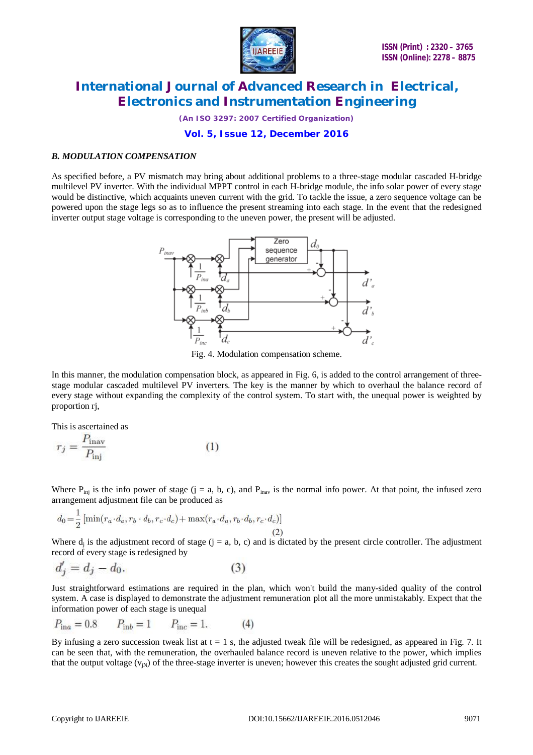

*(An ISO 3297: 2007 Certified Organization)*

### **Vol. 5, Issue 12, December 2016**

#### *B. MODULATION COMPENSATION*

As specified before, a PV mismatch may bring about additional problems to a three-stage modular cascaded H-bridge multilevel PV inverter. With the individual MPPT control in each H-bridge module, the info solar power of every stage would be distinctive, which acquaints uneven current with the grid. To tackle the issue, a zero sequence voltage can be powered upon the stage legs so as to influence the present streaming into each stage. In the event that the redesigned inverter output stage voltage is corresponding to the uneven power, the present will be adjusted.



Fig. 4. Modulation compensation scheme.

In this manner, the modulation compensation block, as appeared in Fig. 6, is added to the control arrangement of threestage modular cascaded multilevel PV inverters. The key is the manner by which to overhaul the balance record of every stage without expanding the complexity of the control system. To start with, the unequal power is weighted by proportion rj,

This is ascertained as

$$
r_j = \frac{P_{\text{inav}}}{P_{\text{inj}}} \tag{1}
$$

Where  $P_{\text{ini}}$  is the info power of stage (j = a, b, c), and  $P_{\text{inay}}$  is the normal info power. At that point, the infused zero arrangement adjustment file can be produced as

$$
d_0 = \frac{1}{2} \left[ \min(r_a \cdot d_a, r_b \cdot d_b, r_c \cdot d_c) + \max(r_a \cdot d_a, r_b \cdot d_b, r_c \cdot d_c) \right]
$$
\n(2)

Where  $d_j$  is the adjustment record of stage  $(j = a, b, c)$  and is dictated by the present circle controller. The adjustment record of every stage is redesigned by

$$
d_j' = d_j - d_0. \tag{3}
$$

Just straightforward estimations are required in the plan, which won't build the many-sided quality of the control system. A case is displayed to demonstrate the adjustment remuneration plot all the more unmistakably. Expect that the information power of each stage is unequal

$$
P_{\text{in}a} = 0.8 \qquad P_{\text{in}b} = 1 \qquad P_{\text{inc}} = 1. \tag{4}
$$

By infusing a zero succession tweak list at  $t = 1$  s, the adjusted tweak file will be redesigned, as appeared in Fig. 7. It can be seen that, with the remuneration, the overhauled balance record is uneven relative to the power, which implies that the output voltage  $(v_{in})$  of the three-stage inverter is uneven; however this creates the sought adjusted grid current.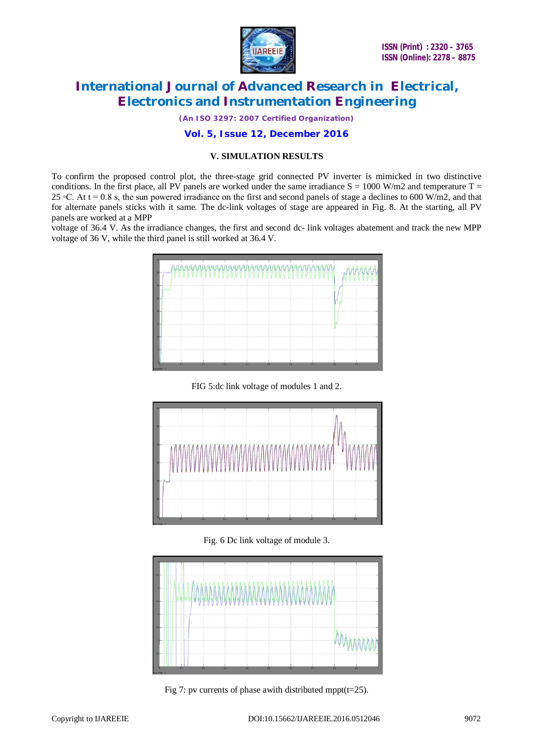

*(An ISO 3297: 2007 Certified Organization)*

### **Vol. 5, Issue 12, December 2016**

#### **V. SIMULATION RESULTS**

To confirm the proposed control plot, the three-stage grid connected PV inverter is mimicked in two distinctive conditions. In the first place, all PV panels are worked under the same irradiance  $S = 1000$  W/m2 and temperature T = 25  $\degree$ C. At t = 0.8 s, the sun powered irradiance on the first and second panels of stage a declines to 600 W/m2, and that for alternate panels sticks with it same. The dc-link voltages of stage are appeared in Fig. 8. At the starting, all PV panels are worked at a MPP

voltage of 36.4 V. As the irradiance changes, the first and second dc- link voltages abatement and track the new MPP voltage of 36 V, while the third panel is still worked at 36.4 V.



FIG 5:dc link voltage of modules 1 and 2.



Fig. 6 Dc link voltage of module 3.



Fig 7: pv currents of phase awith distributed mppt( $t=25$ ).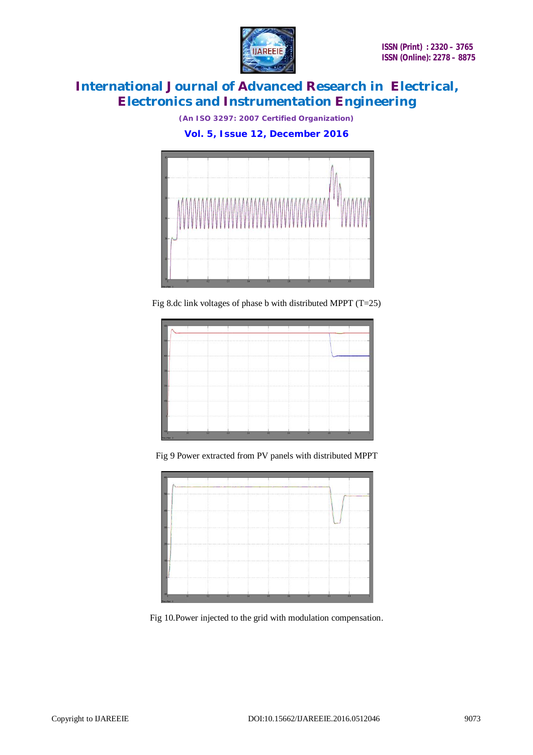

*(An ISO 3297: 2007 Certified Organization)*

**Vol. 5, Issue 12, December 2016**



Fig 8.dc link voltages of phase b with distributed MPPT (T=25)

| 100-            |                        |    |    |                               |                                        |           |    |   |
|-----------------|------------------------|----|----|-------------------------------|----------------------------------------|-----------|----|---|
| a na            | Sound in Four and Con- |    |    |                               |                                        |           |    |   |
|                 |                        |    |    |                               |                                        |           |    |   |
|                 |                        |    |    | The California and California |                                        |           |    |   |
|                 |                        | .  |    |                               |                                        |           |    |   |
|                 |                        |    |    |                               |                                        |           |    |   |
|                 |                        |    |    |                               |                                        |           |    |   |
|                 |                        |    |    |                               |                                        |           |    |   |
|                 |                        |    |    |                               |                                        |           |    |   |
|                 |                        |    |    |                               |                                        |           |    |   |
|                 |                        |    |    |                               |                                        |           |    |   |
|                 |                        |    |    |                               | LEAST LEAST LEAST STRAIGHT CHAIR LEAST |           |    |   |
|                 |                        |    |    |                               |                                        |           |    |   |
| 83.             | $\alpha$               | 15 | 38 | 85                            | 26                                     | <b>DY</b> | 33 | 百 |
| Time office! It |                        |    |    |                               |                                        |           |    |   |

Fig 9 Power extracted from PV panels with distributed MPPT



Fig 10.Power injected to the grid with modulation compensation.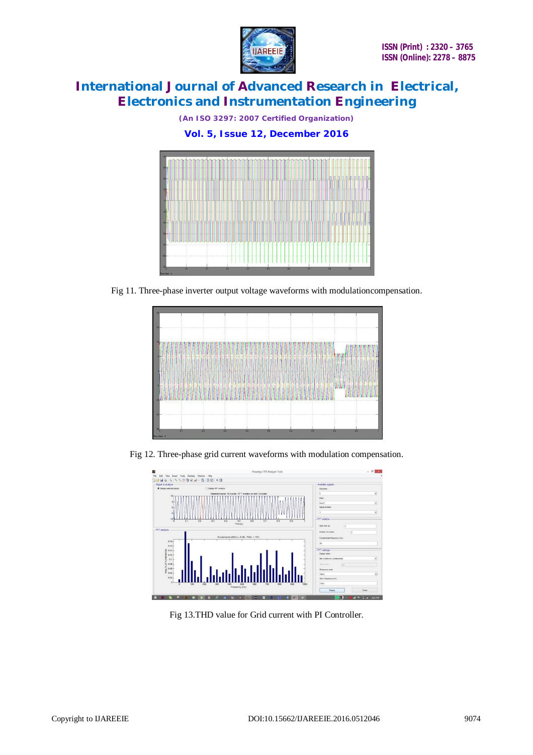

*(An ISO 3297: 2007 Certified Organization)*

**Vol. 5, Issue 12, December 2016**



Fig 11. Three-phase inverter output voltage waveforms with modulationcompensation.



Fig 12. Three-phase grid current waveforms with modulation compensation.



Fig 13.THD value for Grid current with PI Controller.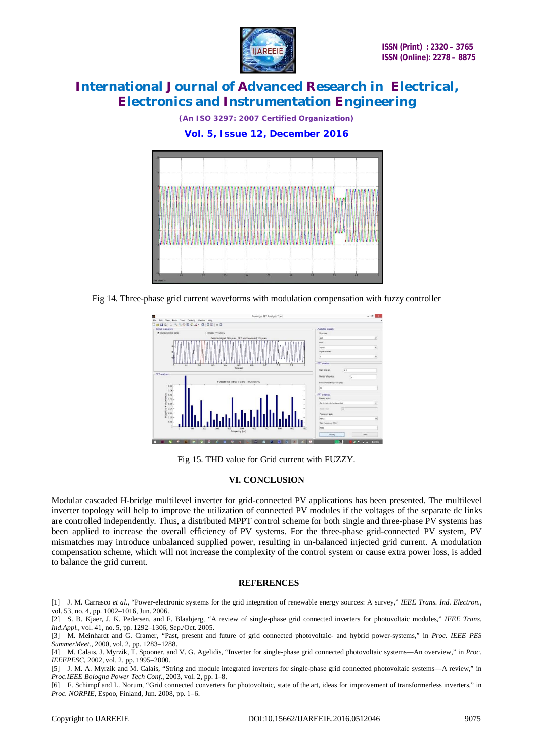

*(An ISO 3297: 2007 Certified Organization)*

### **Vol. 5, Issue 12, December 2016**



Fig 14. Three-phase grid current waveforms with modulation compensation with fuzzy controller



Fig 15. THD value for Grid current with FUZZY.

#### **VI. CONCLUSION**

Modular cascaded H-bridge multilevel inverter for grid-connected PV applications has been presented. The multilevel inverter topology will help to improve the utilization of connected PV modules if the voltages of the separate dc links are controlled independently. Thus, a distributed MPPT control scheme for both single and three-phase PV systems has been applied to increase the overall efficiency of PV systems. For the three-phase grid-connected PV system, PV mismatches may introduce unbalanced supplied power, resulting in un-balanced injected grid current. A modulation compensation scheme, which will not increase the complexity of the control system or cause extra power loss, is added to balance the grid current.

#### **REFERENCES**

[1] J. M. Carrasco *et al.*, "Power-electronic systems for the grid integration of renewable energy sources: A survey," *IEEE Trans. Ind. Electron.*, vol. 53, no. 4, pp. 1002–1016, Jun. 2006.

[2] S. B. Kjaer, J. K. Pedersen, and F. Blaabjerg, "A review of single-phase grid connected inverters for photovoltaic modules," *IEEE Trans. Ind.Appl.*, vol. 41, no. 5, pp. 1292–1306, Sep./Oct. 2005.

[3] M. Meinhardt and G. Cramer, "Past, present and future of grid connected photovoltaic- and hybrid power-systems," in *Proc. IEEE PES SummerMeet.*, 2000, vol. 2, pp. 1283–1288.

[4] M. Calais, J. Myrzik, T. Spooner, and V. G. Agelidis, "Inverter for single-phase grid connected photovoltaic systems—An overview," in *Proc. IEEEPESC*, 2002, vol. 2, pp. 1995–2000.

[5] J. M. A. Myrzik and M. Calais, "String and module integrated inverters for single-phase grid connected photovoltaic systems—A review," in *Proc.IEEE Bologna Power Tech Conf.*, 2003, vol. 2, pp. 1–8.

[6] F. Schimpf and L. Norum, "Grid connected converters for photovoltaic, state of the art, ideas for improvement of transformerless inverters," in *Proc. NORPIE*, Espoo, Finland, Jun. 2008, pp. 1–6.